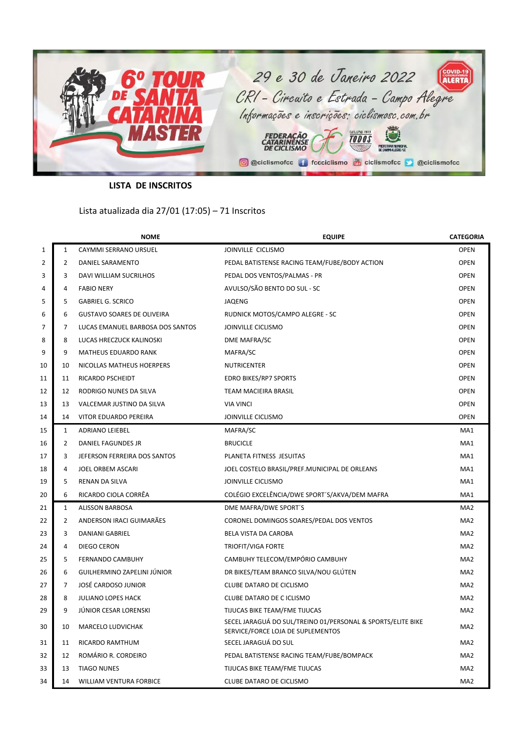

**LISTA DE INSCRITOS**

Lista atualizada dia 27/01 (17:05) – 71 Inscritos

|    |                | <b>NOME</b>                       | <b>EQUIPE</b>                                                                                    | <b>CATEGORIA</b> |
|----|----------------|-----------------------------------|--------------------------------------------------------------------------------------------------|------------------|
| 1  | $\mathbf{1}$   | CAYMMI SERRANO URSUEL             | JOINVILLE CICLISMO                                                                               | <b>OPEN</b>      |
| 2  | $\overline{2}$ | DANIEL SARAMENTO                  | PEDAL BATISTENSE RACING TEAM/FUBE/BODY ACTION                                                    | <b>OPEN</b>      |
| 3  | 3              | DAVI WILLIAM SUCRILHOS            | PEDAL DOS VENTOS/PALMAS - PR                                                                     | <b>OPEN</b>      |
| 4  | 4              | <b>FABIO NERY</b>                 | AVULSO/SÃO BENTO DO SUL - SC                                                                     | <b>OPEN</b>      |
| 5  | 5              | <b>GABRIEL G. SCRICO</b>          | JAQENG                                                                                           | <b>OPEN</b>      |
| 6  | 6              | <b>GUSTAVO SOARES DE OLIVEIRA</b> | RUDNICK MOTOS/CAMPO ALEGRE - SC                                                                  | <b>OPEN</b>      |
| 7  | 7              | LUCAS EMANUEL BARBOSA DOS SANTOS  | JOINVILLE CICLISMO                                                                               | <b>OPEN</b>      |
| 8  | 8              | LUCAS HRECZUCK KALINOSKI          | DME MAFRA/SC                                                                                     | <b>OPEN</b>      |
| 9  | 9              | <b>MATHEUS EDUARDO RANK</b>       | MAFRA/SC                                                                                         | <b>OPEN</b>      |
| 10 | 10             | NICOLLAS MATHEUS HOERPERS         | <b>NUTRICENTER</b>                                                                               | <b>OPEN</b>      |
| 11 | 11             | RICARDO PSCHEIDT                  | <b>EDRO BIKES/RP7 SPORTS</b>                                                                     | <b>OPEN</b>      |
| 12 | 12             | RODRIGO NUNES DA SILVA            | TEAM MACIEIRA BRASIL                                                                             | <b>OPEN</b>      |
| 13 | 13             | VALCEMAR JUSTINO DA SILVA         | <b>VIA VINCI</b>                                                                                 | <b>OPEN</b>      |
| 14 | 14             | VITOR EDUARDO PEREIRA             | JOINVILLE CICLISMO                                                                               | <b>OPEN</b>      |
| 15 | $\mathbf{1}$   | <b>ADRIANO LEIEBEL</b>            | MAFRA/SC                                                                                         | MA1              |
| 16 | 2              | DANIEL FAGUNDES JR                | <b>BRUCICLE</b>                                                                                  | MA1              |
| 17 | 3              | JEFERSON FERREIRA DOS SANTOS      | PLANETA FITNESS JESUITAS                                                                         | MA1              |
| 18 | $\overline{a}$ | JOEL ORBEM ASCARI                 | JOEL COSTELO BRASIL/PREF.MUNICIPAL DE ORLEANS                                                    | MA1              |
| 19 | 5              | RENAN DA SILVA                    | JOINVILLE CICLISMO                                                                               | MA1              |
| 20 | 6              | RICARDO CIOLA CORRÊA              | COLÉGIO EXCELÊNCIA/DWE SPORT'S/AKVA/DEM MAFRA                                                    | MA1              |
| 21 | $\mathbf{1}$   | <b>ALISSON BARBOSA</b>            | DME MAFRA/DWE SPORT'S                                                                            | MA <sub>2</sub>  |
| 22 | $\overline{2}$ | ANDERSON IRACI GUIMARÃES          | CORONEL DOMINGOS SOARES/PEDAL DOS VENTOS                                                         | MA <sub>2</sub>  |
| 23 | 3              | <b>DANIANI GABRIEL</b>            | BELA VISTA DA CAROBA                                                                             | MA <sub>2</sub>  |
| 24 | 4              | DIEGO CERON                       | <b>TRIOFIT/VIGA FORTE</b>                                                                        | MA2              |
| 25 | 5              | <b>FERNANDO CAMBUHY</b>           | CAMBUHY TELECOM/EMPÓRIO CAMBUHY                                                                  | MA <sub>2</sub>  |
| 26 | 6              | GUILHERMINO ZAPELINI JÚNIOR       | DR BIKES/TEAM BRANCO SILVA/NOU GLÚTEN                                                            | MA <sub>2</sub>  |
| 27 | 7              | JOSÉ CARDOSO JUNIOR               | CLUBE DATARO DE CICLISMO                                                                         | MA <sub>2</sub>  |
| 28 | 8              | <b>JULIANO LOPES HACK</b>         | <b>CLUBE DATARO DE C ICLISMO</b>                                                                 | MA <sub>2</sub>  |
| 29 | 9              | JÚNIOR CESAR LORENSKI             | TIJUCAS BIKE TEAM/FME TIJUCAS                                                                    | MA <sub>2</sub>  |
| 30 | 10             | <b>MARCELO LUDVICHAK</b>          | SECEL JARAGUÁ DO SUL/TREINO 01/PERSONAL & SPORTS/ELITE BIKE<br>SERVICE/FORCE LOJA DE SUPLEMENTOS | MA <sub>2</sub>  |
| 31 | 11             | RICARDO RAMTHUM                   | SECEL JARAGUÁ DO SUL                                                                             | MA <sub>2</sub>  |
| 32 | 12             | ROMÁRIO R. CORDEIRO               | PEDAL BATISTENSE RACING TEAM/FUBE/BOMPACK                                                        | MA <sub>2</sub>  |
| 33 | 13             | <b>TIAGO NUNES</b>                | TIJUCAS BIKE TEAM/FME TIJUCAS                                                                    | MA <sub>2</sub>  |
| 34 | 14             | WILLIAM VENTURA FORBICE           | CLUBE DATARO DE CICLISMO                                                                         | MA <sub>2</sub>  |